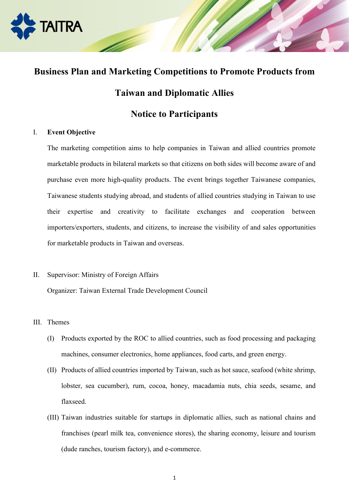

# **Business Plan and Marketing Competitions to Promote Products from**

## **Taiwan and Diplomatic Allies**

## **Notice to Participants**

#### I. **Event Objective**

The marketing competition aims to help companies in Taiwan and allied countries promote marketable products in bilateral markets so that citizens on both sides will become aware of and purchase even more high-quality products. The event brings together Taiwanese companies, Taiwanese students studying abroad, and students of allied countries studying in Taiwan to use their expertise and creativity to facilitate exchanges and cooperation between importers/exporters, students, and citizens, to increase the visibility of and sales opportunities for marketable products in Taiwan and overseas.

- II. Supervisor: Ministry of Foreign Affairs Organizer: Taiwan External Trade Development Council
- III. Themes
	- (I) Products exported by the ROC to allied countries, such as food processing and packaging machines, consumer electronics, home appliances, food carts, and green energy.
	- (II) Products of allied countries imported by Taiwan, such as hot sauce, seafood (white shrimp, lobster, sea cucumber), rum, cocoa, honey, macadamia nuts, chia seeds, sesame, and flaxseed.
	- (III) Taiwan industries suitable for startups in diplomatic allies, such as national chains and franchises (pearl milk tea, convenience stores), the sharing economy, leisure and tourism (dude ranches, tourism factory), and e-commerce.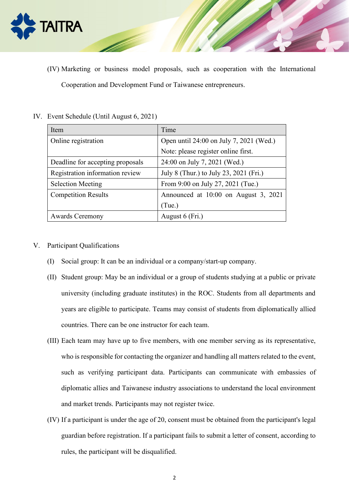

(IV) Marketing or business model proposals, such as cooperation with the International Cooperation and Development Fund or Taiwanese entrepreneurs.

| Item                                                                      | Time                                    |  |
|---------------------------------------------------------------------------|-----------------------------------------|--|
| Online registration                                                       | Open until 24:00 on July 7, 2021 (Wed.) |  |
|                                                                           | Note: please register online first.     |  |
| Deadline for accepting proposals                                          | 24:00 on July 7, 2021 (Wed.)            |  |
| Registration information review<br>July 8 (Thur.) to July 23, 2021 (Fri.) |                                         |  |
| <b>Selection Meeting</b>                                                  | From 9:00 on July 27, 2021 (Tue.)       |  |
| <b>Competition Results</b>                                                | Announced at 10:00 on August 3, 2021    |  |
|                                                                           | (Tue.)                                  |  |
| <b>Awards Ceremony</b>                                                    | August 6 (Fri.)                         |  |

IV. Event Schedule (Until August 6, 2021)

- V. Participant Qualifications
	- (I) Social group: It can be an individual or a company/start-up company.
	- (II) Student group: May be an individual or a group of students studying at a public or private university (including graduate institutes) in the ROC. Students from all departments and years are eligible to participate. Teams may consist of students from diplomatically allied countries. There can be one instructor for each team.
	- (III) Each team may have up to five members, with one member serving as its representative, who is responsible for contacting the organizer and handling all matters related to the event, such as verifying participant data. Participants can communicate with embassies of diplomatic allies and Taiwanese industry associations to understand the local environment and market trends. Participants may not register twice.
	- (IV) If a participant is under the age of 20, consent must be obtained from the participant's legal guardian before registration. If a participant fails to submit a letter of consent, according to rules, the participant will be disqualified.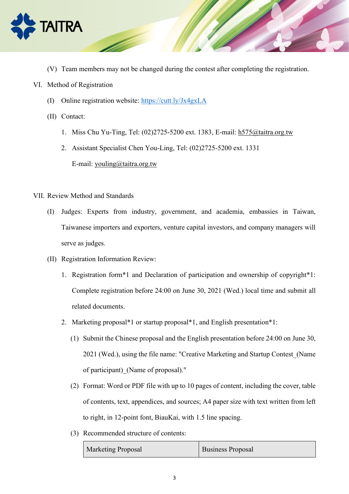

- (V) Team members may not be changed during the contest after completing the registration.
- VI. Method of Registration
	- (I) Online registration website: <https://cutt.ly/Jx4gxLA>
	- (II) Contact:
		- 1. Miss Chu Yu-Ting, Tel: (02)2725-5200 ext. 1383, E-mail: [h575@taitra.org.tw](mailto:h575@taitra.org.tw)
		- 2. Assistant Specialist Chen You-Ling, Tel: (02)2725-5200 ext. 1331 E-mail: [youling@taitra.org.tw](mailto:youling@taitra.org.tw)
- VII. Review Method and Standards
	- (I) Judges: Experts from industry, government, and academia, embassies in Taiwan, Taiwanese importers and exporters, venture capital investors, and company managers will serve as judges.
	- (II) Registration Information Review:
		- 1. Registration form\*1 and Declaration of participation and ownership of copyright\*1: Complete registration before 24:00 on June 30, 2021 (Wed.) local time and submit all related documents.
		- 2. Marketing proposal\*1 or startup proposal\*1, and English presentation\*1:
			- (1) Submit the Chinese proposal and the English presentation before 24:00 on June 30, 2021 (Wed.), using the file name: "Creative Marketing and Startup Contest\_(Name of participant)\_(Name of proposal)."
			- (2) Format: Word or PDF file with up to 10 pages of content, including the cover, table of contents, text, appendices, and sources; A4 paper size with text written from left to right, in 12-point font, BiauKai, with 1.5 line spacing.
			- (3) Recommended structure of contents:

| <b>Marketing Proposal</b> | <b>Business Proposal</b> |
|---------------------------|--------------------------|
|---------------------------|--------------------------|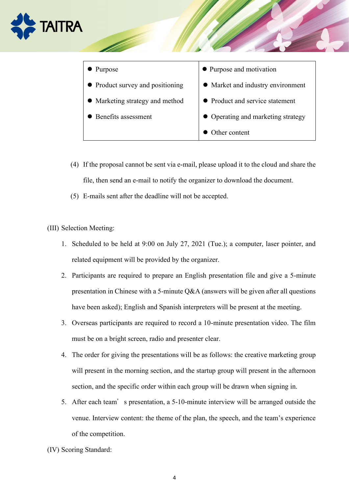



- (4) If the proposal cannot be sent via e-mail, please upload it to the cloud and share the file, then send an e-mail to notify the organizer to download the document.
- (5) E-mails sent after the deadline will not be accepted.

(III) Selection Meeting:

- 1. Scheduled to be held at 9:00 on July 27, 2021 (Tue.); a computer, laser pointer, and related equipment will be provided by the organizer.
- 2. Participants are required to prepare an English presentation file and give a 5-minute presentation in Chinese with a 5-minute Q&A (answers will be given after all questions have been asked); English and Spanish interpreters will be present at the meeting.
- 3. Overseas participants are required to record a 10-minute presentation video. The film must be on a bright screen, radio and presenter clear.
- 4. The order for giving the presentations will be as follows: the creative marketing group will present in the morning section, and the startup group will present in the afternoon section, and the specific order within each group will be drawn when signing in.
- 5. After each team's presentation, a 5-10-minute interview will be arranged outside the venue. Interview content: the theme of the plan, the speech, and the team's experience of the competition.

(IV) Scoring Standard: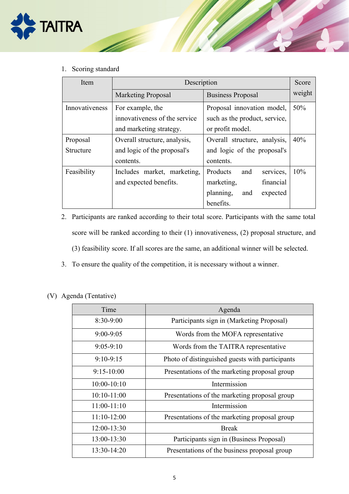

1. Scoring standard

| Item           | Description                   |                               | Score  |
|----------------|-------------------------------|-------------------------------|--------|
|                | <b>Marketing Proposal</b>     | <b>Business Proposal</b>      | weight |
| Innovativeness | For example, the              | Proposal innovation model,    | 50%    |
|                | innovativeness of the service | such as the product, service, |        |
|                | and marketing strategy.       | or profit model.              |        |
| Proposal       | Overall structure, analysis,  | Overall structure, analysis,  | 40%    |
| Structure      | and logic of the proposal's   | and logic of the proposal's   |        |
|                | contents.                     | contents.                     |        |
| Feasibility    | Includes market, marketing,   | Products<br>services,<br>and  | 10%    |
|                | and expected benefits.        | financial<br>marketing,       |        |
|                |                               | planning,<br>and<br>expected  |        |
|                |                               | benefits.                     |        |

- 2. Participants are ranked according to their total score. Participants with the same total score will be ranked according to their (1) innovativeness, (2) proposal structure, and (3) feasibility score. If all scores are the same, an additional winner will be selected.
- 3. To ensure the quality of the competition, it is necessary without a winner.

(V) Agenda (Tentative)

| Time          | Agenda                                          |
|---------------|-------------------------------------------------|
| 8:30-9:00     | Participants sign in (Marketing Proposal)       |
| $9:00 - 9:05$ | Words from the MOFA representative              |
| $9:05-9:10$   | Words from the TAITRA representative            |
| $9:10-9:15$   | Photo of distinguished guests with participants |
| $9:15-10:00$  | Presentations of the marketing proposal group   |
| $10:00-10:10$ | Intermission                                    |
| $10:10-11:00$ | Presentations of the marketing proposal group   |
| $11:00-11:10$ | Intermission                                    |
| $11:10-12:00$ | Presentations of the marketing proposal group   |
| 12:00-13:30   | <b>Break</b>                                    |
| 13:00-13:30   | Participants sign in (Business Proposal)        |
| 13:30-14:20   | Presentations of the business proposal group    |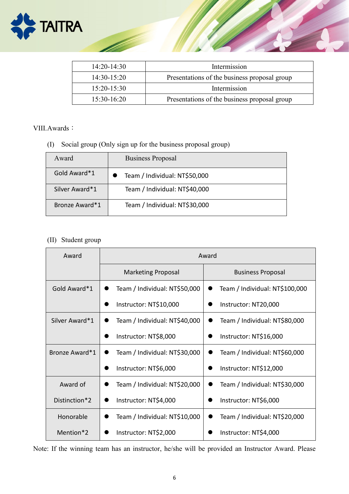

| 14:20-14:30   | Intermission                                 |
|---------------|----------------------------------------------|
| 14:30-15:20   | Presentations of the business proposal group |
| $15:20-15:30$ | Intermission                                 |
| 15:30-16:20   | Presentations of the business proposal group |

#### VIII.Awards:

(I) Social group (Only sign up for the business proposal group)

| Award          | <b>Business Proposal</b>      |
|----------------|-------------------------------|
| Gold Award*1   | Team / Individual: NT\$50,000 |
| Silver Award*1 | Team / Individual: NT\$40,000 |
| Bronze Award*1 | Team / Individual: NT\$30,000 |

### (II) Student group

| Award          | Award                         |                                |
|----------------|-------------------------------|--------------------------------|
|                | <b>Marketing Proposal</b>     | <b>Business Proposal</b>       |
| Gold Award*1   | Team / Individual: NT\$50,000 | Team / Individual: NT\$100,000 |
|                | Instructor: NT\$10,000        | Instructor: NT20,000           |
| Silver Award*1 | Team / Individual: NT\$40,000 | Team / Individual: NT\$80,000  |
|                | Instructor: NT\$8,000         | Instructor: NT\$16,000         |
| Bronze Award*1 | Team / Individual: NT\$30,000 | Team / Individual: NT\$60,000  |
|                | Instructor: NT\$6,000         | Instructor: NT\$12,000         |
| Award of       | Team / Individual: NT\$20,000 | Team / Individual: NT\$30,000  |
| Distinction*2  | Instructor: NT\$4,000         | Instructor: NT\$6,000          |
| Honorable      | Team / Individual: NT\$10,000 | Team / Individual: NT\$20,000  |
| Mention*2      | Instructor: NT\$2,000         | Instructor: NT\$4,000          |

Note: If the winning team has an instructor, he/she will be provided an Instructor Award. Please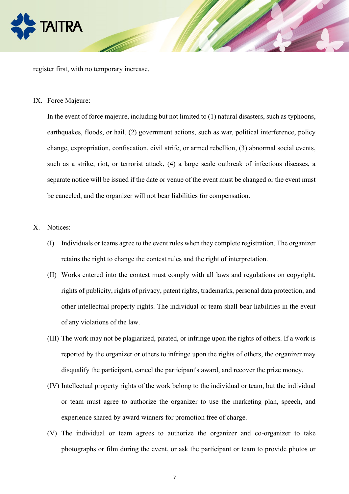

register first, with no temporary increase.

IX. Force Majeure:

In the event of force majeure, including but not limited to (1) natural disasters, such as typhoons, earthquakes, floods, or hail, (2) government actions, such as war, political interference, policy change, expropriation, confiscation, civil strife, or armed rebellion, (3) abnormal social events, such as a strike, riot, or terrorist attack, (4) a large scale outbreak of infectious diseases, a separate notice will be issued if the date or venue of the event must be changed or the event must be canceled, and the organizer will not bear liabilities for compensation.

- X. Notices:
	- (I) Individuals or teams agree to the event rules when they complete registration. The organizer retains the right to change the contest rules and the right of interpretation.
	- (II) Works entered into the contest must comply with all laws and regulations on copyright, rights of publicity, rights of privacy, patent rights, trademarks, personal data protection, and other intellectual property rights. The individual or team shall bear liabilities in the event of any violations of the law.
	- (III) The work may not be plagiarized, pirated, or infringe upon the rights of others. If a work is reported by the organizer or others to infringe upon the rights of others, the organizer may disqualify the participant, cancel the participant's award, and recover the prize money.
	- (IV) Intellectual property rights of the work belong to the individual or team, but the individual or team must agree to authorize the organizer to use the marketing plan, speech, and experience shared by award winners for promotion free of charge.
	- (V) The individual or team agrees to authorize the organizer and co-organizer to take photographs or film during the event, or ask the participant or team to provide photos or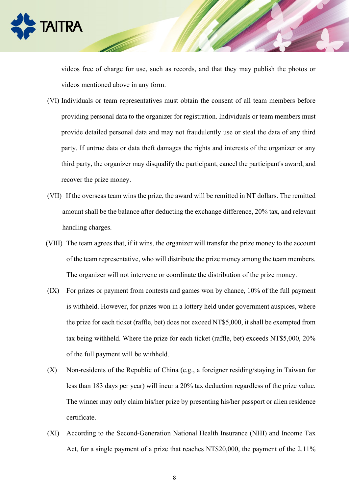

videos free of charge for use, such as records, and that they may publish the photos or videos mentioned above in any form.

- (VI) Individuals or team representatives must obtain the consent of all team members before providing personal data to the organizer for registration. Individuals or team members must provide detailed personal data and may not fraudulently use or steal the data of any third party. If untrue data or data theft damages the rights and interests of the organizer or any third party, the organizer may disqualify the participant, cancel the participant's award, and recover the prize money.
- (VII) If the overseas team wins the prize, the award will be remitted in NT dollars. The remitted amount shall be the balance after deducting the exchange difference, 20% tax, and relevant handling charges.
- (VIII) The team agrees that, if it wins, the organizer will transfer the prize money to the account of the team representative, who will distribute the prize money among the team members. The organizer will not intervene or coordinate the distribution of the prize money.
- (IX) For prizes or payment from contests and games won by chance, 10% of the full payment is withheld. However, for prizes won in a lottery held under government auspices, where the prize for each ticket (raffle, bet) does not exceed NT\$5,000, it shall be exempted from tax being withheld. Where the prize for each ticket (raffle, bet) exceeds NT\$5,000, 20% of the full payment will be withheld.
- (X) Non-residents of the Republic of China (e.g., a foreigner residing/staying in Taiwan for less than 183 days per year) will incur a 20% tax deduction regardless of the prize value. The winner may only claim his/her prize by presenting his/her passport or alien residence certificate.
- (XI) According to the Second-Generation National Health Insurance (NHI) and Income Tax Act, for a single payment of a prize that reaches NT\$20,000, the payment of the 2.11%